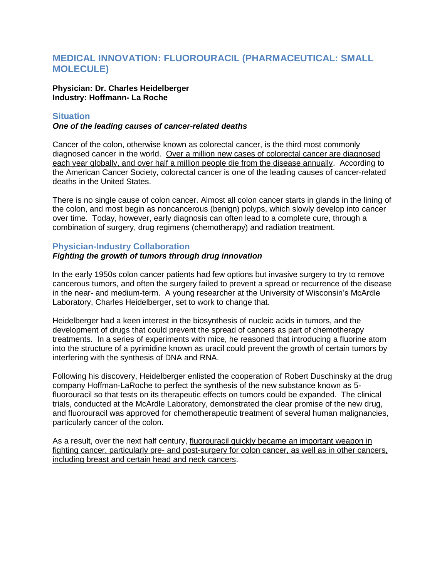# **MEDICAL INNOVATION: FLUOROURACIL (PHARMACEUTICAL: SMALL MOLECULE)**

#### **Physician: Dr. Charles Heidelberger Industry: Hoffmann- La Roche**

### **Situation**

### *One of the leading causes of cancer-related deaths*

Cancer of the colon, otherwise known as colorectal cancer, is the third most commonly diagnosed cancer in the world. Over a million new cases of colorectal cancer are diagnosed each year globally, and over half a million people die from the disease annually. According to the American Cancer Society, colorectal cancer is one of the leading causes of cancer-related deaths in the United States.

There is no single cause of colon cancer. Almost all colon cancer starts in glands in the lining of the colon, and most begin as noncancerous (benign) polyps, which slowly develop into cancer over time. Today, however, early diagnosis can often lead to a complete cure, through a combination of surgery, drug regimens (chemotherapy) and radiation treatment.

# **Physician-Industry Collaboration**

## *Fighting the growth of tumors through drug innovation*

In the early 1950s colon cancer patients had few options but invasive surgery to try to remove cancerous tumors, and often the surgery failed to prevent a spread or recurrence of the disease in the near- and medium-term. A young researcher at the University of Wisconsin's McArdle Laboratory, Charles Heidelberger, set to work to change that.

Heidelberger had a keen interest in the biosynthesis of nucleic acids in tumors, and the development of drugs that could prevent the spread of cancers as part of chemotherapy treatments. In a series of experiments with mice, he reasoned that introducing a fluorine atom into the structure of a pyrimidine known as uracil could prevent the growth of certain tumors by interfering with the synthesis of DNA and RNA.

Following his discovery, Heidelberger enlisted the cooperation of Robert Duschinsky at the drug company Hoffman-LaRoche to perfect the synthesis of the new substance known as 5 fluorouracil so that tests on its therapeutic effects on tumors could be expanded. The clinical trials, conducted at the McArdle Laboratory, demonstrated the clear promise of the new drug, and fluorouracil was approved for chemotherapeutic treatment of several human malignancies, particularly cancer of the colon.

As a result, over the next half century, fluorouracil quickly became an important weapon in fighting cancer, particularly pre- and post-surgery for colon cancer, as well as in other cancers, including breast and certain head and neck cancers.